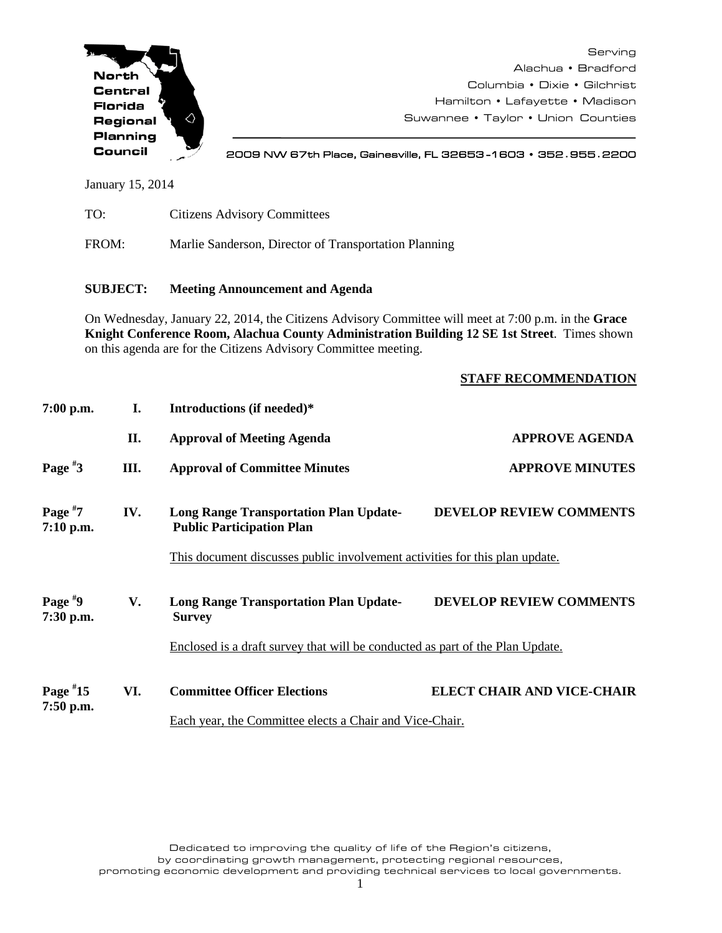

Serving Alachua • Bradford Columbia • Dixie • Gilchrist Hamilton • Lafayette • Madison Suwannee • Taylor • Union Counties

2009 NW 67th Place, Gainesville, FL 32653 -1603 • 352**.**955**.**2200

January 15, 2014

| TO:   | <b>Citizens Advisory Committees</b>                   |
|-------|-------------------------------------------------------|
| FROM: | Marlie Sanderson, Director of Transportation Planning |

## **SUBJECT: Meeting Announcement and Agenda**

On Wednesday, January 22, 2014, the Citizens Advisory Committee will meet at 7:00 p.m. in the **Grace Knight Conference Room, Alachua County Administration Building 12 SE 1st Street**. Times shown on this agenda are for the Citizens Advisory Committee meeting.

## **STAFF RECOMMENDATION**

| $7:00$ p.m.               | I.  | Introductions (if needed)*                                                        |                                   |
|---------------------------|-----|-----------------------------------------------------------------------------------|-----------------------------------|
|                           | II. | <b>Approval of Meeting Agenda</b>                                                 | <b>APPROVE AGENDA</b>             |
| Page $*3$                 | Ш.  | <b>Approval of Committee Minutes</b>                                              | <b>APPROVE MINUTES</b>            |
| Page $*7$<br>$7:10$ p.m.  | IV. | <b>Long Range Transportation Plan Update-</b><br><b>Public Participation Plan</b> | <b>DEVELOP REVIEW COMMENTS</b>    |
|                           |     | This document discusses public involvement activities for this plan update.       |                                   |
| Page $*9$<br>7:30 p.m.    | V.  | <b>Long Range Transportation Plan Update-</b><br><b>Survey</b>                    | <b>DEVELOP REVIEW COMMENTS</b>    |
|                           |     | Enclosed is a draft survey that will be conducted as part of the Plan Update.     |                                   |
| Page $*15$<br>$7:50$ p.m. | VI. | <b>Committee Officer Elections</b>                                                | <b>ELECT CHAIR AND VICE-CHAIR</b> |
|                           |     | Each year, the Committee elects a Chair and Vice-Chair.                           |                                   |